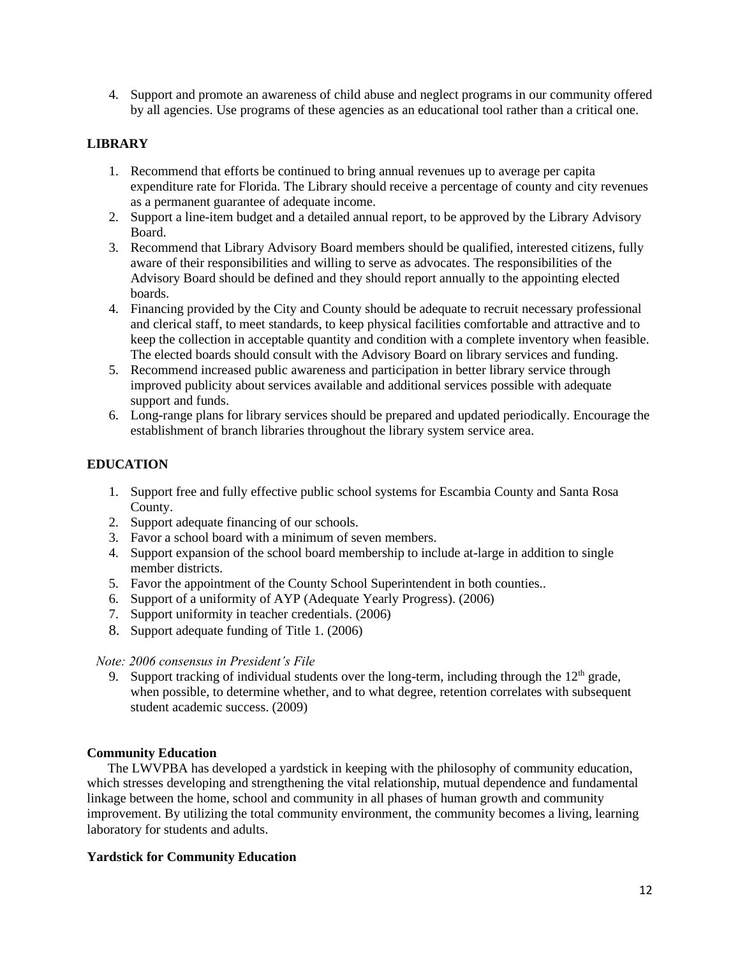4. Support and promote an awareness of child abuse and neglect programs in our community offered by all agencies. Use programs of these agencies as an educational tool rather than a critical one.

## **LIBRARY**

- 1. Recommend that efforts be continued to bring annual revenues up to average per capita expenditure rate for Florida. The Library should receive a percentage of county and city revenues as a permanent guarantee of adequate income.
- 2. Support a line-item budget and a detailed annual report, to be approved by the Library Advisory Board.
- 3. Recommend that Library Advisory Board members should be qualified, interested citizens, fully aware of their responsibilities and willing to serve as advocates. The responsibilities of the Advisory Board should be defined and they should report annually to the appointing elected boards.
- 4. Financing provided by the City and County should be adequate to recruit necessary professional and clerical staff, to meet standards, to keep physical facilities comfortable and attractive and to keep the collection in acceptable quantity and condition with a complete inventory when feasible. The elected boards should consult with the Advisory Board on library services and funding.
- 5. Recommend increased public awareness and participation in better library service through improved publicity about services available and additional services possible with adequate support and funds.
- 6. Long-range plans for library services should be prepared and updated periodically. Encourage the establishment of branch libraries throughout the library system service area.

### **EDUCATION**

- 1. Support free and fully effective public school systems for Escambia County and Santa Rosa County.
- 2. Support adequate financing of our schools.
- 3. Favor a school board with a minimum of seven members.
- 4. Support expansion of the school board membership to include at-large in addition to single member districts.
- 5. Favor the appointment of the County School Superintendent in both counties..
- 6. Support of a uniformity of AYP (Adequate Yearly Progress). (2006)
- 7. Support uniformity in teacher credentials. (2006)
- 8. Support adequate funding of Title 1. (2006)

#### *Note: 2006 consensus in President's File*

9. Support tracking of individual students over the long-term, including through the  $12<sup>th</sup>$  grade, when possible, to determine whether, and to what degree, retention correlates with subsequent student academic success. (2009)

#### **Community Education**

The LWVPBA has developed a yardstick in keeping with the philosophy of community education, which stresses developing and strengthening the vital relationship, mutual dependence and fundamental linkage between the home, school and community in all phases of human growth and community improvement. By utilizing the total community environment, the community becomes a living, learning laboratory for students and adults.

#### **Yardstick for Community Education**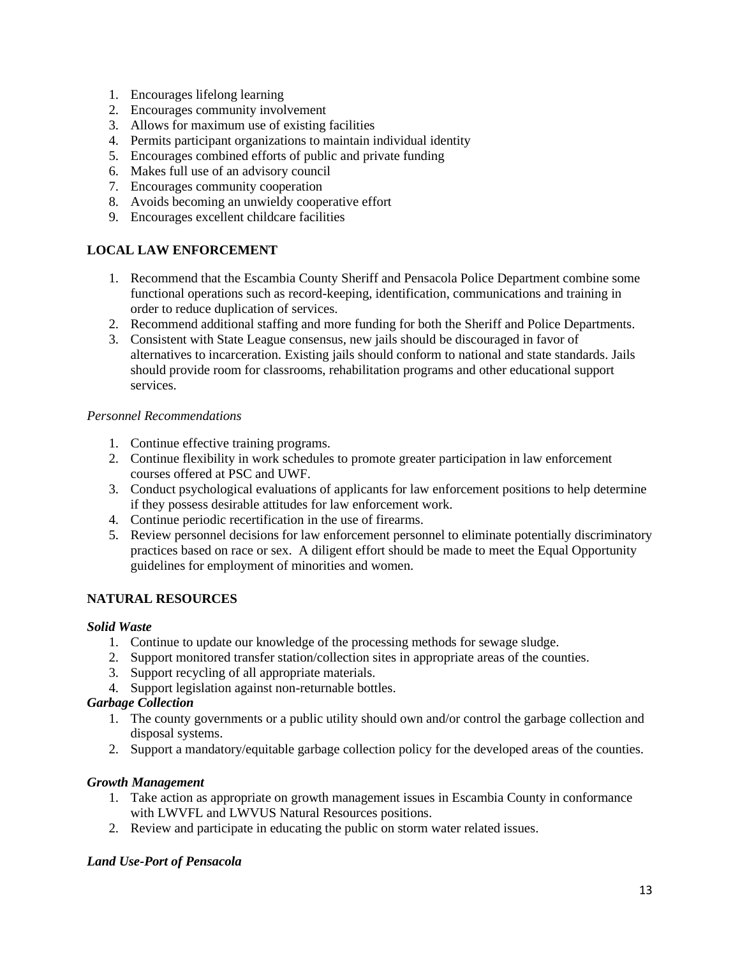- 1. Encourages lifelong learning
- 2. Encourages community involvement
- 3. Allows for maximum use of existing facilities
- 4. Permits participant organizations to maintain individual identity
- 5. Encourages combined efforts of public and private funding
- 6. Makes full use of an advisory council
- 7. Encourages community cooperation
- 8. Avoids becoming an unwieldy cooperative effort
- 9. Encourages excellent childcare facilities

### **LOCAL LAW ENFORCEMENT**

- 1. Recommend that the Escambia County Sheriff and Pensacola Police Department combine some functional operations such as record-keeping, identification, communications and training in order to reduce duplication of services.
- 2. Recommend additional staffing and more funding for both the Sheriff and Police Departments.
- 3. Consistent with State League consensus, new jails should be discouraged in favor of alternatives to incarceration. Existing jails should conform to national and state standards. Jails should provide room for classrooms, rehabilitation programs and other educational support services.

### *Personnel Recommendations*

- 1. Continue effective training programs.
- 2. Continue flexibility in work schedules to promote greater participation in law enforcement courses offered at PSC and UWF.
- 3. Conduct psychological evaluations of applicants for law enforcement positions to help determine if they possess desirable attitudes for law enforcement work.
- 4. Continue periodic recertification in the use of firearms.
- 5. Review personnel decisions for law enforcement personnel to eliminate potentially discriminatory practices based on race or sex. A diligent effort should be made to meet the Equal Opportunity guidelines for employment of minorities and women.

### **NATURAL RESOURCES**

#### *Solid Waste*

- 1. Continue to update our knowledge of the processing methods for sewage sludge.
- 2. Support monitored transfer station/collection sites in appropriate areas of the counties.
- 3. Support recycling of all appropriate materials.
- 4. Support legislation against non-returnable bottles.

#### *Garbage Collection*

- 1. The county governments or a public utility should own and/or control the garbage collection and disposal systems.
- 2. Support a mandatory/equitable garbage collection policy for the developed areas of the counties.

#### *Growth Management*

- 1. Take action as appropriate on growth management issues in Escambia County in conformance with LWVFL and LWVUS Natural Resources positions.
- 2. Review and participate in educating the public on storm water related issues.

### *Land Use-Port of Pensacola*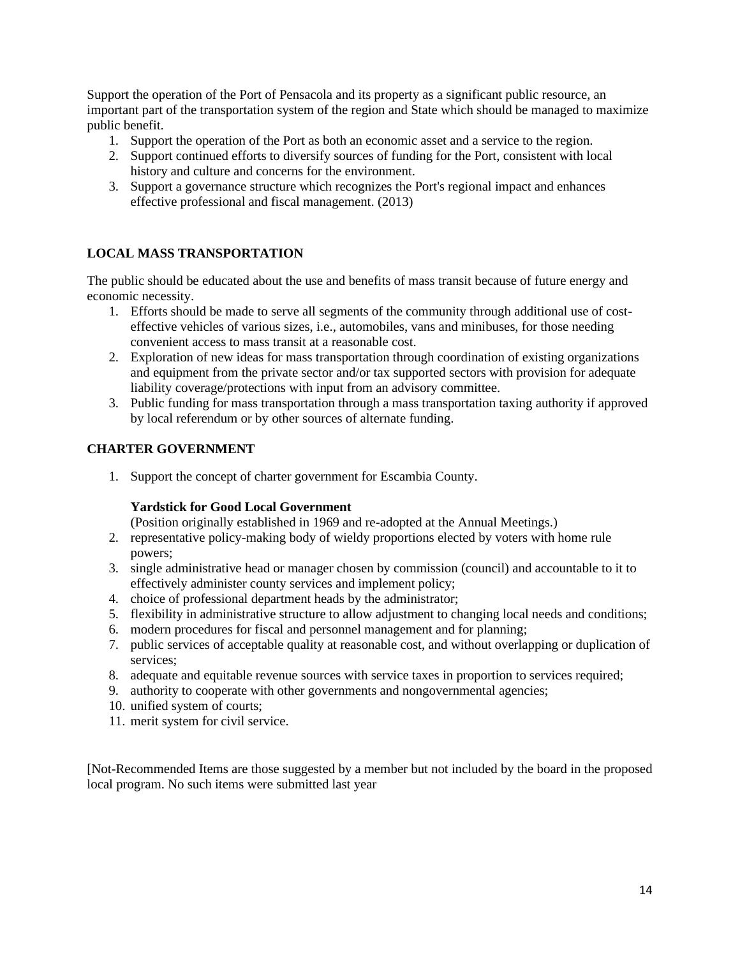Support the operation of the Port of Pensacola and its property as a significant public resource, an important part of the transportation system of the region and State which should be managed to maximize public benefit.

- 1. Support the operation of the Port as both an economic asset and a service to the region.
- 2. Support continued efforts to diversify sources of funding for the Port, consistent with local history and culture and concerns for the environment.
- 3. Support a governance structure which recognizes the Port's regional impact and enhances effective professional and fiscal management. (2013)

### **LOCAL MASS TRANSPORTATION**

The public should be educated about the use and benefits of mass transit because of future energy and economic necessity.

- 1. Efforts should be made to serve all segments of the community through additional use of costeffective vehicles of various sizes, i.e., automobiles, vans and minibuses, for those needing convenient access to mass transit at a reasonable cost.
- 2. Exploration of new ideas for mass transportation through coordination of existing organizations and equipment from the private sector and/or tax supported sectors with provision for adequate liability coverage/protections with input from an advisory committee.
- 3. Public funding for mass transportation through a mass transportation taxing authority if approved by local referendum or by other sources of alternate funding.

### **CHARTER GOVERNMENT**

1. Support the concept of charter government for Escambia County.

#### **Yardstick for Good Local Government**

(Position originally established in 1969 and re-adopted at the Annual Meetings.)

- 2. representative policy-making body of wieldy proportions elected by voters with home rule powers;
- 3. single administrative head or manager chosen by commission (council) and accountable to it to effectively administer county services and implement policy;
- 4. choice of professional department heads by the administrator;
- 5. flexibility in administrative structure to allow adjustment to changing local needs and conditions;
- 6. modern procedures for fiscal and personnel management and for planning;
- 7. public services of acceptable quality at reasonable cost, and without overlapping or duplication of services;
- 8. adequate and equitable revenue sources with service taxes in proportion to services required;
- 9. authority to cooperate with other governments and nongovernmental agencies;
- 10. unified system of courts;
- 11. merit system for civil service.

[Not-Recommended Items are those suggested by a member but not included by the board in the proposed local program. No such items were submitted last year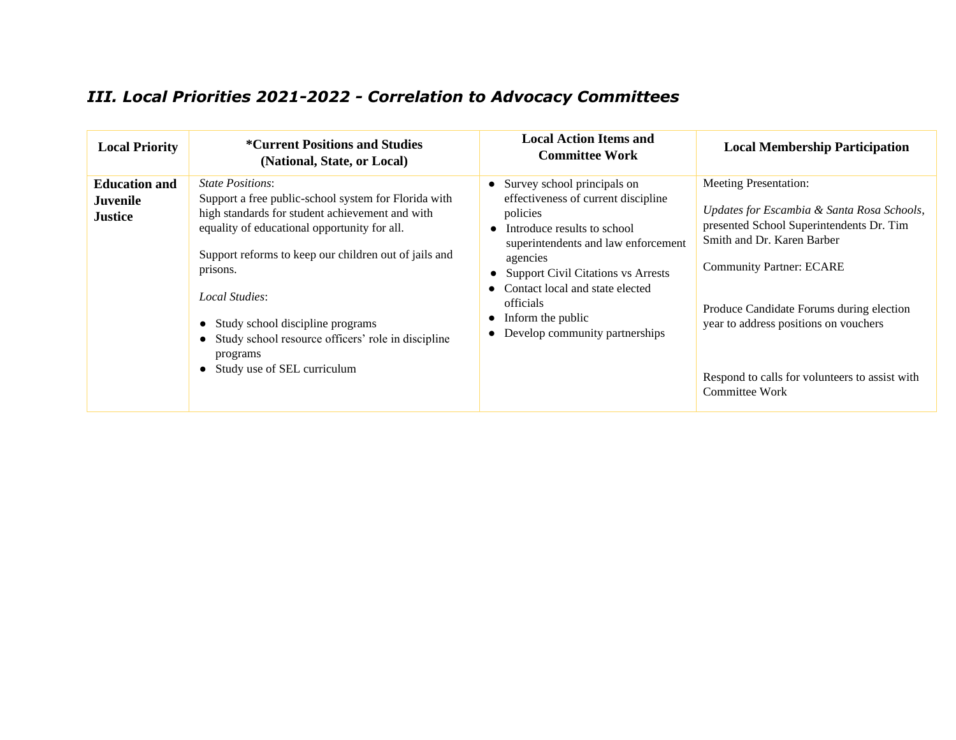# *III. Local Priorities 2021-2022 - Correlation to Advocacy Committees*

| <b>Local Priority</b>                                     | <i>*Current Positions and Studies</i><br>(National, State, or Local)                                                                                                                                                                                                                                                                                                                                                        | <b>Local Action Items and</b><br><b>Committee Work</b>                                                                                                                                                                                                                                                                   | <b>Local Membership Participation</b>                                                                                                                                                                                                                                                                                                            |
|-----------------------------------------------------------|-----------------------------------------------------------------------------------------------------------------------------------------------------------------------------------------------------------------------------------------------------------------------------------------------------------------------------------------------------------------------------------------------------------------------------|--------------------------------------------------------------------------------------------------------------------------------------------------------------------------------------------------------------------------------------------------------------------------------------------------------------------------|--------------------------------------------------------------------------------------------------------------------------------------------------------------------------------------------------------------------------------------------------------------------------------------------------------------------------------------------------|
| <b>Education and</b><br><b>Juvenile</b><br><b>Justice</b> | <i>State Positions:</i><br>Support a free public-school system for Florida with<br>high standards for student achievement and with<br>equality of educational opportunity for all.<br>Support reforms to keep our children out of jails and<br>prisons.<br>Local Studies:<br>Study school discipline programs<br>Study school resource officers' role in discipline<br>programs<br>Study use of SEL curriculum<br>$\bullet$ | Survey school principals on<br>effectiveness of current discipline<br>policies<br>• Introduce results to school<br>superintendents and law enforcement<br>agencies<br><b>Support Civil Citations vs Arrests</b><br>Contact local and state elected<br>officials<br>Inform the public<br>• Develop community partnerships | <b>Meeting Presentation:</b><br>Updates for Escambia & Santa Rosa Schools,<br>presented School Superintendents Dr. Tim<br>Smith and Dr. Karen Barber<br><b>Community Partner: ECARE</b><br>Produce Candidate Forums during election<br>year to address positions on vouchers<br>Respond to calls for volunteers to assist with<br>Committee Work |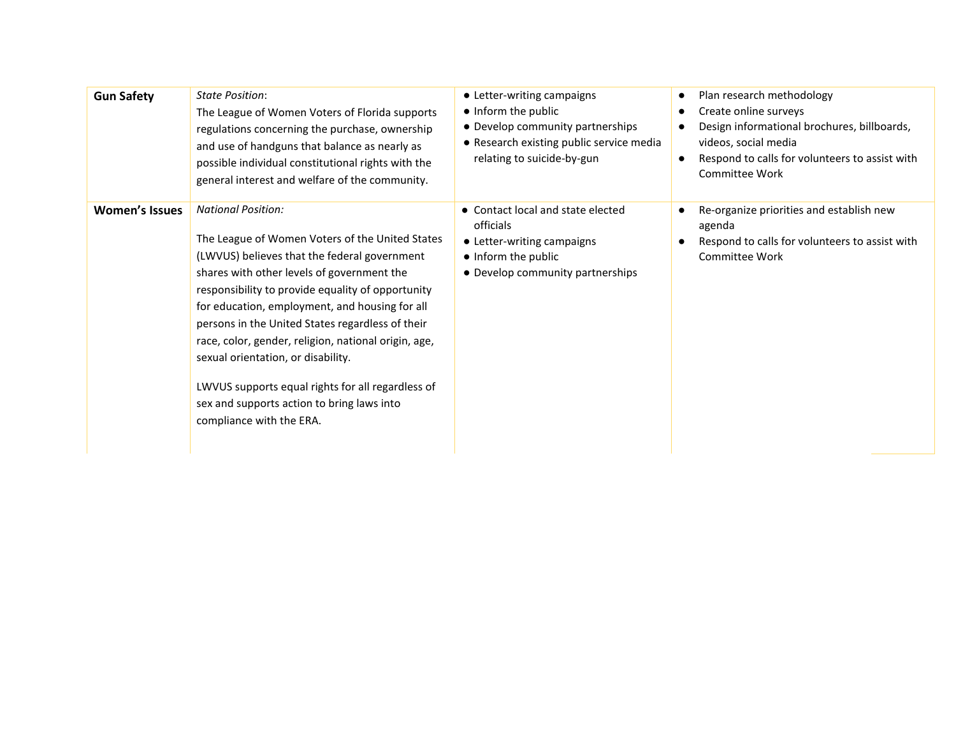| <b>Gun Safety</b>     | <b>State Position:</b><br>The League of Women Voters of Florida supports<br>regulations concerning the purchase, ownership<br>and use of handguns that balance as nearly as<br>possible individual constitutional rights with the<br>general interest and welfare of the community.                                                                                                                                                                                                                                                                                | • Letter-writing campaigns<br>• Inform the public<br>• Develop community partnerships<br>• Research existing public service media<br>relating to suicide-by-gun | Plan research methodology<br>$\bullet$<br>Create online surveys<br>$\bullet$<br>Design informational brochures, billboards,<br>$\bullet$<br>videos, social media<br>Respond to calls for volunteers to assist with<br>$\bullet$<br>Committee Work |
|-----------------------|--------------------------------------------------------------------------------------------------------------------------------------------------------------------------------------------------------------------------------------------------------------------------------------------------------------------------------------------------------------------------------------------------------------------------------------------------------------------------------------------------------------------------------------------------------------------|-----------------------------------------------------------------------------------------------------------------------------------------------------------------|---------------------------------------------------------------------------------------------------------------------------------------------------------------------------------------------------------------------------------------------------|
| <b>Women's Issues</b> | <b>National Position:</b><br>The League of Women Voters of the United States<br>(LWVUS) believes that the federal government<br>shares with other levels of government the<br>responsibility to provide equality of opportunity<br>for education, employment, and housing for all<br>persons in the United States regardless of their<br>race, color, gender, religion, national origin, age,<br>sexual orientation, or disability.<br>LWVUS supports equal rights for all regardless of<br>sex and supports action to bring laws into<br>compliance with the ERA. | • Contact local and state elected<br>officials<br>• Letter-writing campaigns<br>• Inform the public<br>• Develop community partnerships                         | Re-organize priorities and establish new<br>agenda<br>Respond to calls for volunteers to assist with<br>Committee Work                                                                                                                            |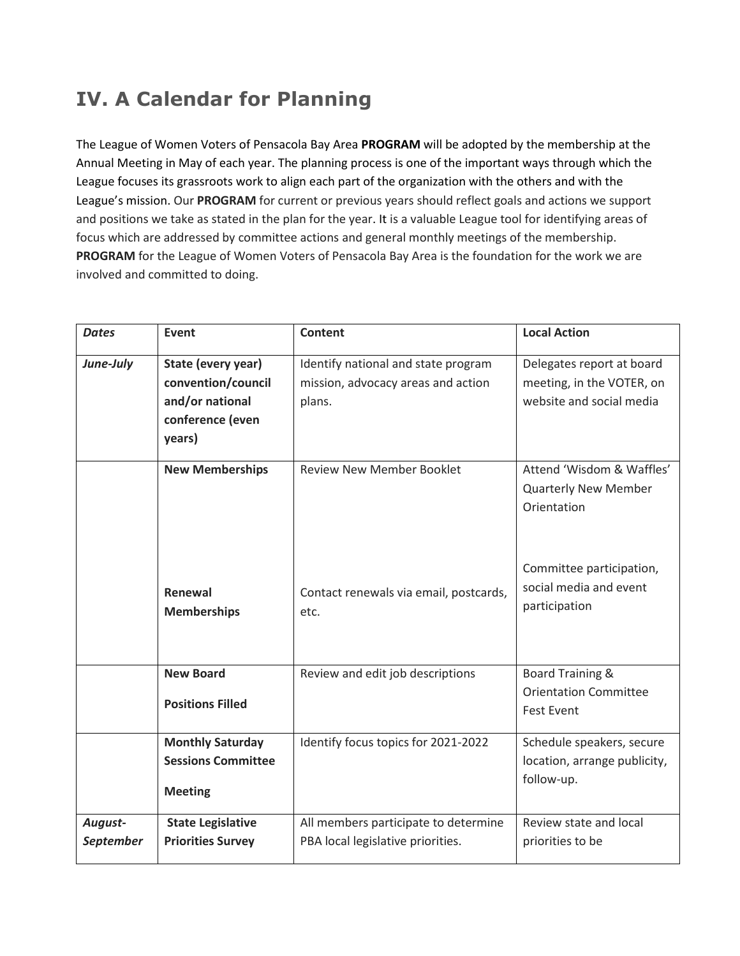# **IV. A Calendar for Planning**

The League of Women Voters of Pensacola Bay Area **PROGRAM** will be adopted by the membership at the Annual Meeting in May of each year. The planning process is one of the important ways through which the League focuses its grassroots work to align each part of the organization with the others and with the League's mission. Our **PROGRAM** for current or previous years should reflect goals and actions we support and positions we take as stated in the plan for the year. It is a valuable League tool for identifying areas of focus which are addressed by committee actions and general monthly meetings of the membership. **PROGRAM** for the League of Women Voters of Pensacola Bay Area is the foundation for the work we are involved and committed to doing.

| <b>Dates</b>         | Event                                                                                     | <b>Content</b>                                                                      | <b>Local Action</b>                                                                |
|----------------------|-------------------------------------------------------------------------------------------|-------------------------------------------------------------------------------------|------------------------------------------------------------------------------------|
| June-July            | State (every year)<br>convention/council<br>and/or national<br>conference (even<br>years) | Identify national and state program<br>mission, advocacy areas and action<br>plans. | Delegates report at board<br>meeting, in the VOTER, on<br>website and social media |
|                      | <b>New Memberships</b>                                                                    | <b>Review New Member Booklet</b>                                                    | Attend 'Wisdom & Waffles'<br><b>Quarterly New Member</b><br>Orientation            |
|                      | Renewal<br><b>Memberships</b>                                                             | Contact renewals via email, postcards,<br>etc.                                      | Committee participation,<br>social media and event<br>participation                |
|                      | <b>New Board</b><br><b>Positions Filled</b>                                               | Review and edit job descriptions                                                    | <b>Board Training &amp;</b><br><b>Orientation Committee</b><br><b>Fest Event</b>   |
|                      | <b>Monthly Saturday</b><br><b>Sessions Committee</b><br><b>Meeting</b>                    | Identify focus topics for 2021-2022                                                 | Schedule speakers, secure<br>location, arrange publicity,<br>follow-up.            |
| August-<br>September | <b>State Legislative</b><br><b>Priorities Survey</b>                                      | All members participate to determine<br>PBA local legislative priorities.           | Review state and local<br>priorities to be                                         |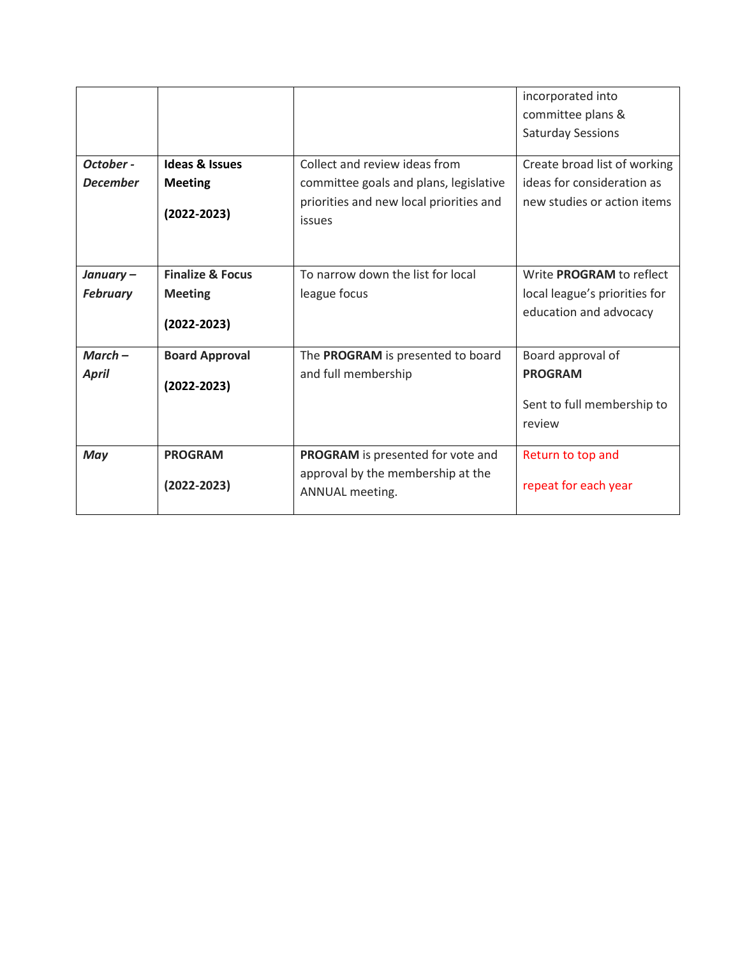|                              |                                                                  |                                                                                                                              | incorporated into<br>committee plans &<br><b>Saturday Sessions</b>                         |
|------------------------------|------------------------------------------------------------------|------------------------------------------------------------------------------------------------------------------------------|--------------------------------------------------------------------------------------------|
| October -<br><b>December</b> | <b>Ideas &amp; Issues</b><br><b>Meeting</b><br>$(2022 - 2023)$   | Collect and review ideas from<br>committee goals and plans, legislative<br>priorities and new local priorities and<br>issues | Create broad list of working<br>ideas for consideration as<br>new studies or action items  |
| January-<br><b>February</b>  | <b>Finalize &amp; Focus</b><br><b>Meeting</b><br>$(2022 - 2023)$ | To narrow down the list for local<br>league focus                                                                            | Write <b>PROGRAM</b> to reflect<br>local league's priorities for<br>education and advocacy |
| $March-$<br><b>April</b>     | <b>Board Approval</b><br>$(2022 - 2023)$                         | The PROGRAM is presented to board<br>and full membership                                                                     | Board approval of<br><b>PROGRAM</b><br>Sent to full membership to<br>review                |
| May                          | <b>PROGRAM</b><br>$(2022 - 2023)$                                | PROGRAM is presented for vote and<br>approval by the membership at the<br>ANNUAL meeting.                                    | Return to top and<br>repeat for each year                                                  |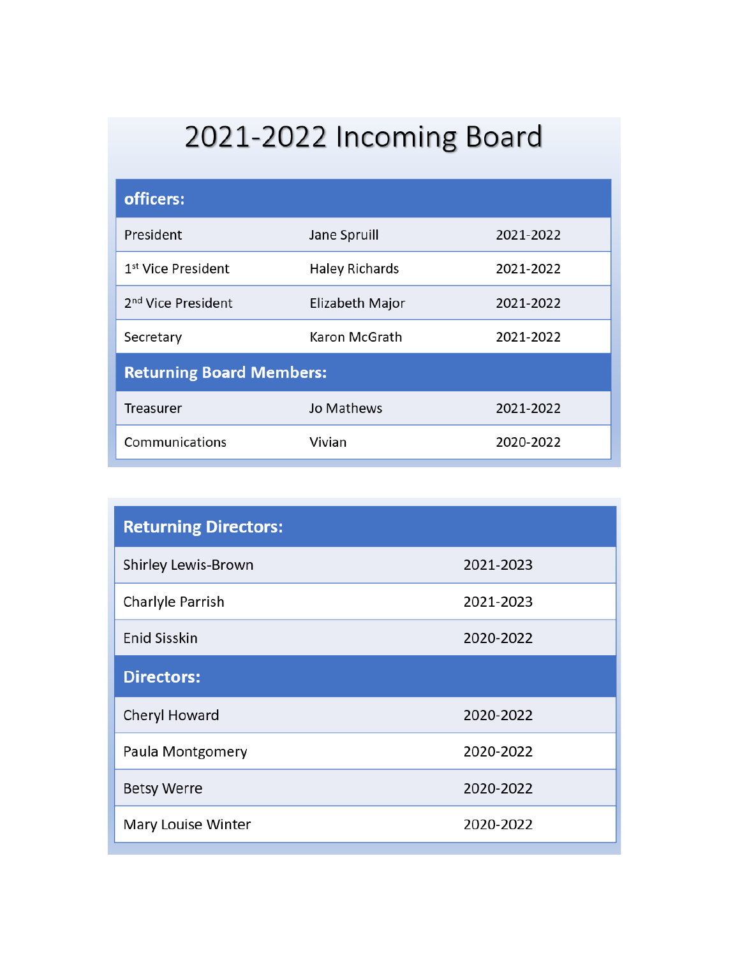# 2021-2022 Incoming Board

| officers:                       |                       |           |  |  |  |
|---------------------------------|-----------------------|-----------|--|--|--|
| President                       | Jane Spruill          | 2021-2022 |  |  |  |
| 1 <sup>st</sup> Vice President  | <b>Haley Richards</b> | 2021-2022 |  |  |  |
| 2 <sup>nd</sup> Vice President  | Elizabeth Major       | 2021-2022 |  |  |  |
| Secretary                       | Karon McGrath         | 2021-2022 |  |  |  |
| <b>Returning Board Members:</b> |                       |           |  |  |  |
| <b>Treasurer</b>                | Jo Mathews            | 2021-2022 |  |  |  |
| Communications                  | Vivian                | 2020-2022 |  |  |  |

| <b>Returning Directors:</b> |           |
|-----------------------------|-----------|
| <b>Shirley Lewis-Brown</b>  | 2021-2023 |
| Charlyle Parrish            | 2021-2023 |
| <b>Enid Sisskin</b>         | 2020-2022 |
| <b>Directors:</b>           |           |
| Cheryl Howard               | 2020-2022 |
| Paula Montgomery            | 2020-2022 |
| <b>Betsy Werre</b>          | 2020-2022 |
| Mary Louise Winter          | 2020-2022 |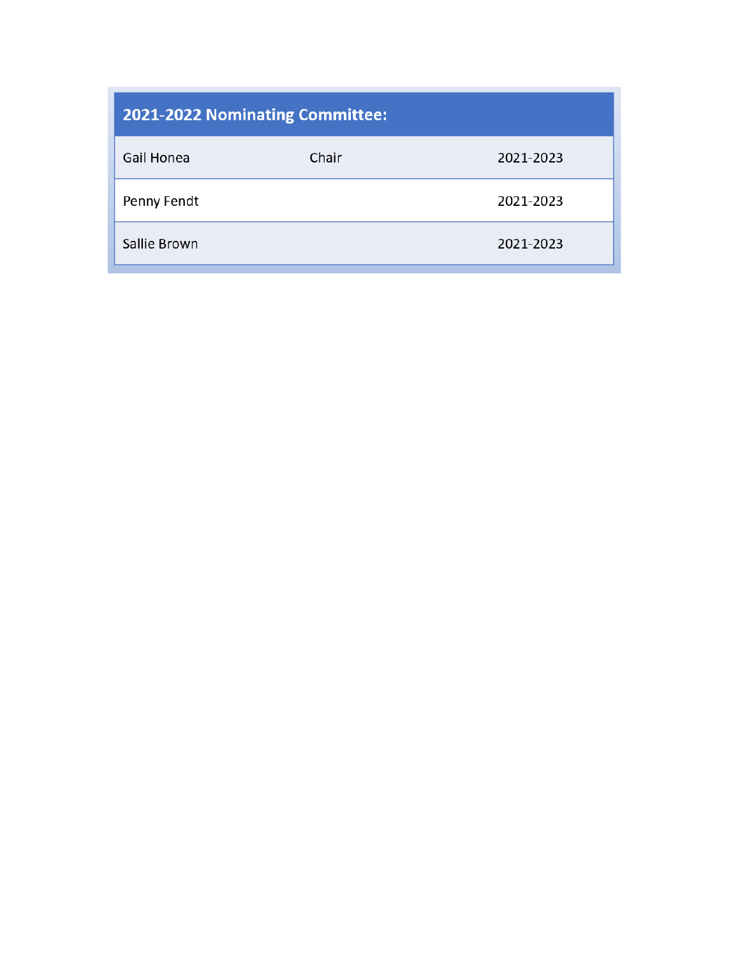| <b>2021-2022 Nominating Committee:</b> |       |           |  |  |  |
|----------------------------------------|-------|-----------|--|--|--|
| Gail Honea                             | Chair | 2021-2023 |  |  |  |
| Penny Fendt                            |       | 2021-2023 |  |  |  |
| Sallie Brown                           |       | 2021-2023 |  |  |  |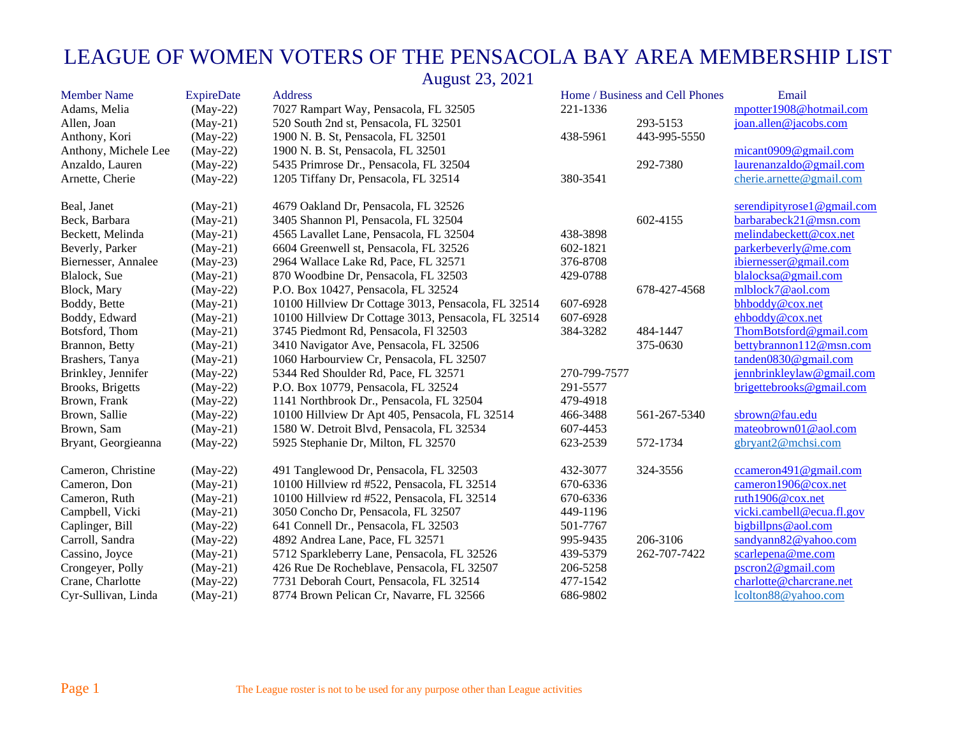| <b>Member Name</b>   | <b>ExpireDate</b> | <b>Address</b>                                      |              | Home / Business and Cell Phones | Email                      |
|----------------------|-------------------|-----------------------------------------------------|--------------|---------------------------------|----------------------------|
| Adams, Melia         | $(May-22)$        | 7027 Rampart Way, Pensacola, FL 32505               | 221-1336     |                                 | mpotter1908@hotmail.com    |
| Allen, Joan          | $(May-21)$        | 520 South 2nd st, Pensacola, FL 32501               |              | 293-5153                        | joan.allen@jacobs.com      |
| Anthony, Kori        | $(May-22)$        | 1900 N. B. St, Pensacola, FL 32501                  | 438-5961     | 443-995-5550                    |                            |
| Anthony, Michele Lee | $(May-22)$        | 1900 N. B. St, Pensacola, FL 32501                  |              |                                 | micant0909@gmail.com       |
| Anzaldo, Lauren      | $(May-22)$        | 5435 Primrose Dr., Pensacola, FL 32504              |              | 292-7380                        | laurenanzaldo@gmail.com    |
| Arnette, Cherie      | $(May-22)$        | 1205 Tiffany Dr, Pensacola, FL 32514                | 380-3541     |                                 | cherie.arnette@gmail.com   |
| Beal, Janet          | $(May-21)$        | 4679 Oakland Dr, Pensacola, FL 32526                |              |                                 | serendipityrose1@gmail.com |
| Beck, Barbara        | $(May-21)$        | 3405 Shannon Pl, Pensacola, FL 32504                |              | 602-4155                        | barbarabeck21@msn.com      |
| Beckett, Melinda     | $(May-21)$        | 4565 Lavallet Lane, Pensacola, FL 32504             | 438-3898     |                                 | melindabeckett@cox.net     |
| Beverly, Parker      | $(May-21)$        | 6604 Greenwell st, Pensacola, FL 32526              | 602-1821     |                                 | parkerbeverly@me.com       |
| Biernesser, Annalee  | $(May-23)$        | 2964 Wallace Lake Rd, Pace, FL 32571                | 376-8708     |                                 | ibiernesser@gmail.com      |
| Blalock, Sue         | $(May-21)$        | 870 Woodbine Dr, Pensacola, FL 32503                | 429-0788     |                                 | blalocksa@gmail.com        |
| Block, Mary          | $(May-22)$        | P.O. Box 10427, Pensacola, FL 32524                 |              | 678-427-4568                    | mlblock7@aol.com           |
| Boddy, Bette         | $(May-21)$        | 10100 Hillview Dr Cottage 3013, Pensacola, FL 32514 | 607-6928     |                                 | bhboddy@cox.net            |
| Boddy, Edward        | $(May-21)$        | 10100 Hillview Dr Cottage 3013, Pensacola, FL 32514 | 607-6928     |                                 | ehboddy@cox.net            |
| Botsford, Thom       | $(May-21)$        | 3745 Piedmont Rd, Pensacola, Fl 32503               | 384-3282     | 484-1447                        | ThomBotsford@gmail.com     |
| Brannon, Betty       | $(May-21)$        | 3410 Navigator Ave, Pensacola, FL 32506             |              | 375-0630                        | bettybrannon112@msn.com    |
| Brashers, Tanya      | $(May-21)$        | 1060 Harbourview Cr, Pensacola, FL 32507            |              |                                 | tanden0830@gmail.com       |
| Brinkley, Jennifer   | $(May-22)$        | 5344 Red Shoulder Rd, Pace, FL 32571                | 270-799-7577 |                                 | jennbrinkleylaw@gmail.com  |
| Brooks, Brigetts     | $(May-22)$        | P.O. Box 10779, Pensacola, FL 32524                 | 291-5577     |                                 | brigettebrooks@gmail.com   |
| Brown, Frank         | $(May-22)$        | 1141 Northbrook Dr., Pensacola, FL 32504            | 479-4918     |                                 |                            |
| Brown, Sallie        | $(May-22)$        | 10100 Hillview Dr Apt 405, Pensacola, FL 32514      | 466-3488     | 561-267-5340                    | sbrown@fau.edu             |
| Brown, Sam           | $(May-21)$        | 1580 W. Detroit Blvd, Pensacola, FL 32534           | 607-4453     |                                 | mateobrown01@aol.com       |
| Bryant, Georgieanna  | $(May-22)$        | 5925 Stephanie Dr, Milton, FL 32570                 | 623-2539     | 572-1734                        | gbryant2@mchsi.com         |
| Cameron, Christine   | $(May-22)$        | 491 Tanglewood Dr, Pensacola, FL 32503              | 432-3077     | 324-3556                        | ccameron491@gmail.com      |
| Cameron, Don         | $(May-21)$        | 10100 Hillview rd #522, Pensacola, FL 32514         | 670-6336     |                                 | cameron1906@cox.net        |
| Cameron, Ruth        | $(May-21)$        | 10100 Hillview rd #522, Pensacola, FL 32514         | 670-6336     |                                 | ruth1906@cox.net           |
| Campbell, Vicki      | $(May-21)$        | 3050 Concho Dr, Pensacola, FL 32507                 | 449-1196     |                                 | vicki.cambell@ecua.fl.gov  |
| Caplinger, Bill      | $(May-22)$        | 641 Connell Dr., Pensacola, FL 32503                | 501-7767     |                                 | bigbillpns@aol.com         |
| Carroll, Sandra      | $(May-22)$        | 4892 Andrea Lane, Pace, FL 32571                    | 995-9435     | 206-3106                        | sandyann82@yahoo.com       |
| Cassino, Joyce       | $(May-21)$        | 5712 Sparkleberry Lane, Pensacola, FL 32526         | 439-5379     | 262-707-7422                    | scarlepena@me.com          |
| Crongeyer, Polly     | $(May-21)$        | 426 Rue De Rocheblave, Pensacola, FL 32507          | 206-5258     |                                 | pscron2@gmail.com          |
| Crane, Charlotte     | $(May-22)$        | 7731 Deborah Court, Pensacola, FL 32514             | 477-1542     |                                 | charlotte@charcrane.net    |
| Cyr-Sullivan, Linda  | $(May-21)$        | 8774 Brown Pelican Cr, Navarre, FL 32566            | 686-9802     |                                 | lcolton88@yahoo.com        |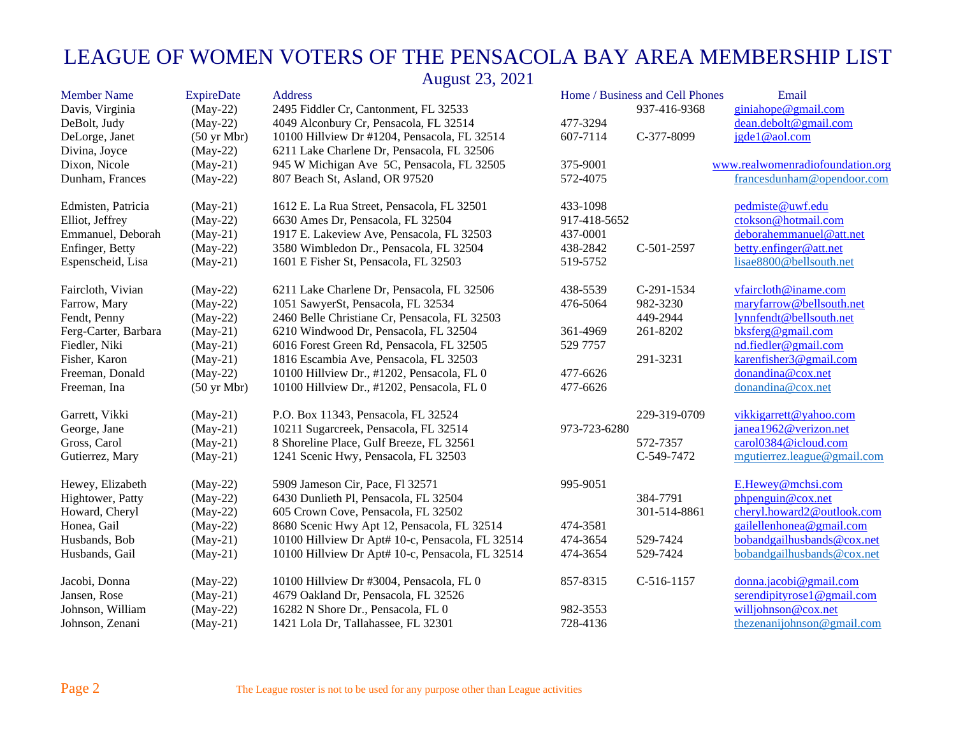| <b>Member Name</b>   | <b>ExpireDate</b>     | <b>Address</b>                                   |              | Home / Business and Cell Phones | Email                            |
|----------------------|-----------------------|--------------------------------------------------|--------------|---------------------------------|----------------------------------|
| Davis, Virginia      | $(May-22)$            | 2495 Fiddler Cr, Cantonment, FL 32533            |              | 937-416-9368                    | giniahope@gmail.com              |
| DeBolt, Judy         | $(May-22)$            | 4049 Alconbury Cr, Pensacola, FL 32514           | 477-3294     |                                 | dean.debolt@gmail.com            |
| DeLorge, Janet       | $(50 \text{ yr Mbr})$ | 10100 Hillview Dr #1204, Pensacola, FL 32514     | 607-7114     | C-377-8099                      | jgde1@aol.com                    |
| Divina, Joyce        | $(May-22)$            | 6211 Lake Charlene Dr, Pensacola, FL 32506       |              |                                 |                                  |
| Dixon, Nicole        | $(May-21)$            | 945 W Michigan Ave 5C, Pensacola, FL 32505       | 375-9001     |                                 | www.realwomenradiofoundation.org |
| Dunham, Frances      | $(May-22)$            | 807 Beach St, Asland, OR 97520                   | 572-4075     |                                 | francesdunham@opendoor.com       |
| Edmisten, Patricia   | $(May-21)$            | 1612 E. La Rua Street, Pensacola, FL 32501       | 433-1098     |                                 | pedmiste@uwf.edu                 |
| Elliot, Jeffrey      | $(May-22)$            | 6630 Ames Dr, Pensacola, FL 32504                | 917-418-5652 |                                 | ctokson@hotmail.com              |
| Emmanuel, Deborah    | $(May-21)$            | 1917 E. Lakeview Ave, Pensacola, FL 32503        | 437-0001     |                                 | deborahemmanuel@att.net          |
| Enfinger, Betty      | $(May-22)$            | 3580 Wimbledon Dr., Pensacola, FL 32504          | 438-2842     | C-501-2597                      | betty.enfinger@att.net           |
| Espenscheid, Lisa    | $(May-21)$            | 1601 E Fisher St, Pensacola, FL 32503            | 519-5752     |                                 | lisae8800@bellsouth.net          |
| Faircloth, Vivian    | $(May-22)$            | 6211 Lake Charlene Dr, Pensacola, FL 32506       | 438-5539     | $C-291-1534$                    | vfaircloth@iname.com             |
| Farrow, Mary         | $(May-22)$            | 1051 SawyerSt, Pensacola, FL 32534               | 476-5064     | 982-3230                        | maryfarrow@bellsouth.net         |
| Fendt, Penny         | $(May-22)$            | 2460 Belle Christiane Cr, Pensacola, FL 32503    |              | 449-2944                        | lynnfendt@bellsouth.net          |
| Ferg-Carter, Barbara | $(May-21)$            | 6210 Windwood Dr, Pensacola, FL 32504            | 361-4969     | 261-8202                        | bksferg@gmail.com                |
| Fiedler, Niki        | $(May-21)$            | 6016 Forest Green Rd, Pensacola, FL 32505        | 529 7757     |                                 | nd.fiedler@gmail.com             |
| Fisher, Karon        | $(May-21)$            | 1816 Escambia Ave, Pensacola, FL 32503           |              | 291-3231                        | karenfisher3@gmail.com           |
| Freeman, Donald      | $(May-22)$            | 10100 Hillview Dr., #1202, Pensacola, FL 0       | 477-6626     |                                 | donandina@cox.net                |
| Freeman, Ina         | $(50 \text{ yr Mbr})$ | 10100 Hillview Dr., #1202, Pensacola, FL 0       | 477-6626     |                                 | donandina@cox.net                |
| Garrett, Vikki       | $(May-21)$            | P.O. Box 11343, Pensacola, FL 32524              |              | 229-319-0709                    | vikkigarrett@yahoo.com           |
| George, Jane         | $(May-21)$            | 10211 Sugarcreek, Pensacola, FL 32514            | 973-723-6280 |                                 | janea1962@verizon.net            |
| Gross, Carol         | $(May-21)$            | 8 Shoreline Place, Gulf Breeze, FL 32561         |              | 572-7357                        | carol0384@icloud.com             |
| Gutierrez, Mary      | $(May-21)$            | 1241 Scenic Hwy, Pensacola, FL 32503             |              | C-549-7472                      | mgutierrez.league@gmail.com      |
| Hewey, Elizabeth     | $(May-22)$            | 5909 Jameson Cir, Pace, Fl 32571                 | 995-9051     |                                 | E.Hewey@mchsi.com                |
| Hightower, Patty     | $(May-22)$            | 6430 Dunlieth Pl, Pensacola, FL 32504            |              | 384-7791                        | phpenguin@cox.net                |
| Howard, Cheryl       | $(May-22)$            | 605 Crown Cove, Pensacola, FL 32502              |              | 301-514-8861                    | cheryl.howard2@outlook.com       |
| Honea, Gail          | $(May-22)$            | 8680 Scenic Hwy Apt 12, Pensacola, FL 32514      | 474-3581     |                                 | gailellenhonea@gmail.com         |
| Husbands, Bob        | $(May-21)$            | 10100 Hillview Dr Apt# 10-c, Pensacola, FL 32514 | 474-3654     | 529-7424                        | bobandgailhusbands@cox.net       |
| Husbands, Gail       | $(May-21)$            | 10100 Hillview Dr Apt# 10-c, Pensacola, FL 32514 | 474-3654     | 529-7424                        | bobandgailhusbands@cox.net       |
| Jacobi, Donna        | $(May-22)$            | 10100 Hillview Dr #3004, Pensacola, FL 0         | 857-8315     | $C-516-1157$                    | donna.jacobi@gmail.com           |
| Jansen, Rose         | $(May-21)$            | 4679 Oakland Dr, Pensacola, FL 32526             |              |                                 | serendipityrose1@gmail.com       |
| Johnson, William     | $(May-22)$            | 16282 N Shore Dr., Pensacola, FL 0               | 982-3553     |                                 | williohnson@cox.net              |
| Johnson, Zenani      | $(May-21)$            | 1421 Lola Dr, Tallahassee, FL 32301              | 728-4136     |                                 | thezenanijohnson@gmail.com       |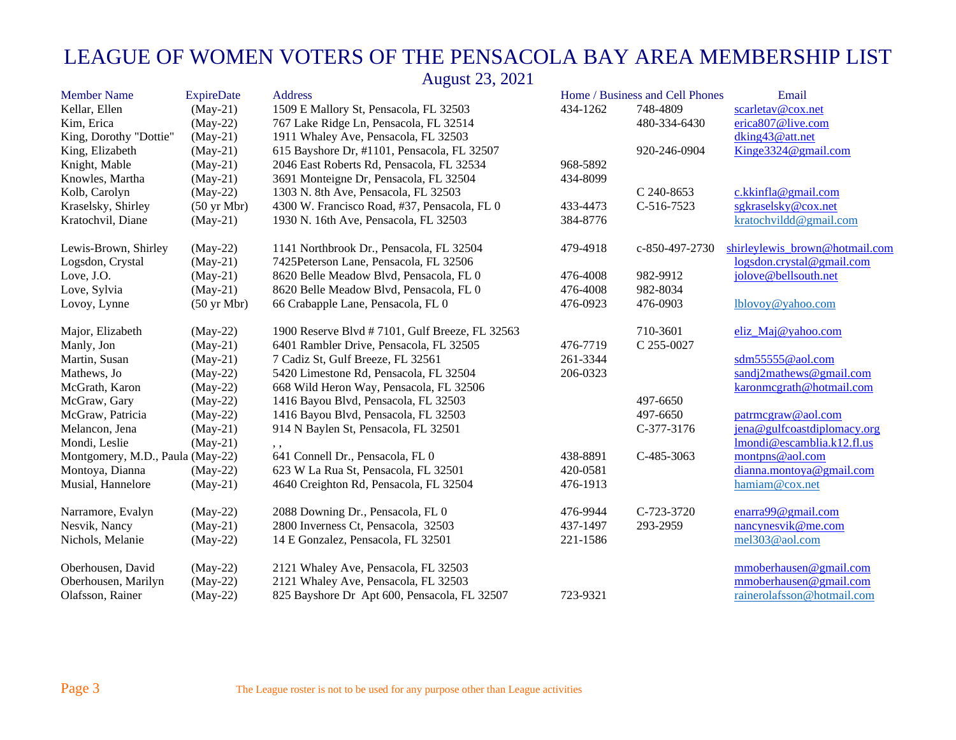| <b>Member Name</b>               | <b>ExpireDate</b>     | Address                                        |          | Home / Business and Cell Phones | Email                          |
|----------------------------------|-----------------------|------------------------------------------------|----------|---------------------------------|--------------------------------|
| Kellar, Ellen                    | $(May-21)$            | 1509 E Mallory St, Pensacola, FL 32503         | 434-1262 | 748-4809                        | scarletav@cox.net              |
| Kim, Erica                       | $(May-22)$            | 767 Lake Ridge Ln, Pensacola, FL 32514         |          | 480-334-6430                    | erica807@live.com              |
| King, Dorothy "Dottie"           | $(May-21)$            | 1911 Whaley Ave, Pensacola, FL 32503           |          |                                 | dking43@att.net                |
| King, Elizabeth                  | $(May-21)$            | 615 Bayshore Dr, #1101, Pensacola, FL 32507    |          | 920-246-0904                    | Kinge3324@gmail.com            |
| Knight, Mable                    | $(May-21)$            | 2046 East Roberts Rd, Pensacola, FL 32534      | 968-5892 |                                 |                                |
| Knowles, Martha                  | $(May-21)$            | 3691 Monteigne Dr, Pensacola, FL 32504         | 434-8099 |                                 |                                |
| Kolb, Carolyn                    | $(May-22)$            | 1303 N. 8th Ave, Pensacola, FL 32503           |          | C 240-8653                      | c.kkinfla@gmail.com            |
| Kraselsky, Shirley               | $(50 \text{ yr Mbr})$ | 4300 W. Francisco Road, #37, Pensacola, FL 0   | 433-4473 | C-516-7523                      | sgkraselsky@cox.net            |
| Kratochvil, Diane                | $(May-21)$            | 1930 N. 16th Ave, Pensacola, FL 32503          | 384-8776 |                                 | kratochvildd@gmail.com         |
| Lewis-Brown, Shirley             | $(May-22)$            | 1141 Northbrook Dr., Pensacola, FL 32504       | 479-4918 | c-850-497-2730                  | shirleylewis brown@hotmail.com |
| Logsdon, Crystal                 | $(May-21)$            | 7425Peterson Lane, Pensacola, FL 32506         |          |                                 | logsdon.crystal@gmail.com      |
| Love, J.O.                       | $(May-21)$            | 8620 Belle Meadow Blvd, Pensacola, FL 0        | 476-4008 | 982-9912                        | jolove@bellsouth.net           |
| Love, Sylvia                     | $(May-21)$            | 8620 Belle Meadow Blvd, Pensacola, FL 0        | 476-4008 | 982-8034                        |                                |
| Lovoy, Lynne                     | $(50 \text{ yr Mbr})$ | 66 Crabapple Lane, Pensacola, FL 0             | 476-0923 | 476-0903                        | lblovoy@yahoo.com              |
| Major, Elizabeth                 | $(May-22)$            | 1900 Reserve Blvd #7101, Gulf Breeze, FL 32563 |          | 710-3601                        | eliz_Maj@yahoo.com             |
| Manly, Jon                       | $(May-21)$            | 6401 Rambler Drive, Pensacola, FL 32505        | 476-7719 | C 255-0027                      |                                |
| Martin, Susan                    | $(May-21)$            | 7 Cadiz St, Gulf Breeze, FL 32561              | 261-3344 |                                 | sdm55555@aol.com               |
| Mathews, Jo                      | $(May-22)$            | 5420 Limestone Rd, Pensacola, FL 32504         | 206-0323 |                                 | sandj2mathews@gmail.com        |
| McGrath, Karon                   | $(May-22)$            | 668 Wild Heron Way, Pensacola, FL 32506        |          |                                 | karonmegrath@hotmail.com       |
| McGraw, Gary                     | $(May-22)$            | 1416 Bayou Blvd, Pensacola, FL 32503           |          | 497-6650                        |                                |
| McGraw, Patricia                 | $(May-22)$            | 1416 Bayou Blvd, Pensacola, FL 32503           |          | 497-6650                        | patrmcgraw@aol.com             |
| Melancon, Jena                   | $(May-21)$            | 914 N Baylen St, Pensacola, FL 32501           |          | C-377-3176                      | jena@gulfcoastdiplomacy.org    |
| Mondi, Leslie                    | $(May-21)$            | , ,                                            |          |                                 | lmondi@escamblia.k12.fl.us     |
| Montgomery, M.D., Paula (May-22) |                       | 641 Connell Dr., Pensacola, FL 0               | 438-8891 | C-485-3063                      | montpns@aol.com                |
| Montoya, Dianna                  | $(May-22)$            | 623 W La Rua St, Pensacola, FL 32501           | 420-0581 |                                 | dianna.montoya@gmail.com       |
| Musial, Hannelore                | $(May-21)$            | 4640 Creighton Rd, Pensacola, FL 32504         | 476-1913 |                                 | hamiam@cox.net                 |
| Narramore, Evalyn                | $(May-22)$            | 2088 Downing Dr., Pensacola, FL 0              | 476-9944 | C-723-3720                      | enarra $99@$ gmail.com         |
| Nesvik, Nancy                    | $(May-21)$            | 2800 Inverness Ct, Pensacola, 32503            | 437-1497 | 293-2959                        | nancynesvik@me.com             |
| Nichols, Melanie                 | $(May-22)$            | 14 E Gonzalez, Pensacola, FL 32501             | 221-1586 |                                 | mel303@aol.com                 |
| Oberhousen, David                | $(May-22)$            | 2121 Whaley Ave, Pensacola, FL 32503           |          |                                 | mmoberhausen@gmail.com         |
| Oberhousen, Marilyn              | $(May-22)$            | 2121 Whaley Ave, Pensacola, FL 32503           |          |                                 | mmoberhausen@gmail.com         |
| Olafsson, Rainer                 | $(May-22)$            | 825 Bayshore Dr Apt 600, Pensacola, FL 32507   | 723-9321 |                                 | rainerolafsson@hotmail.com     |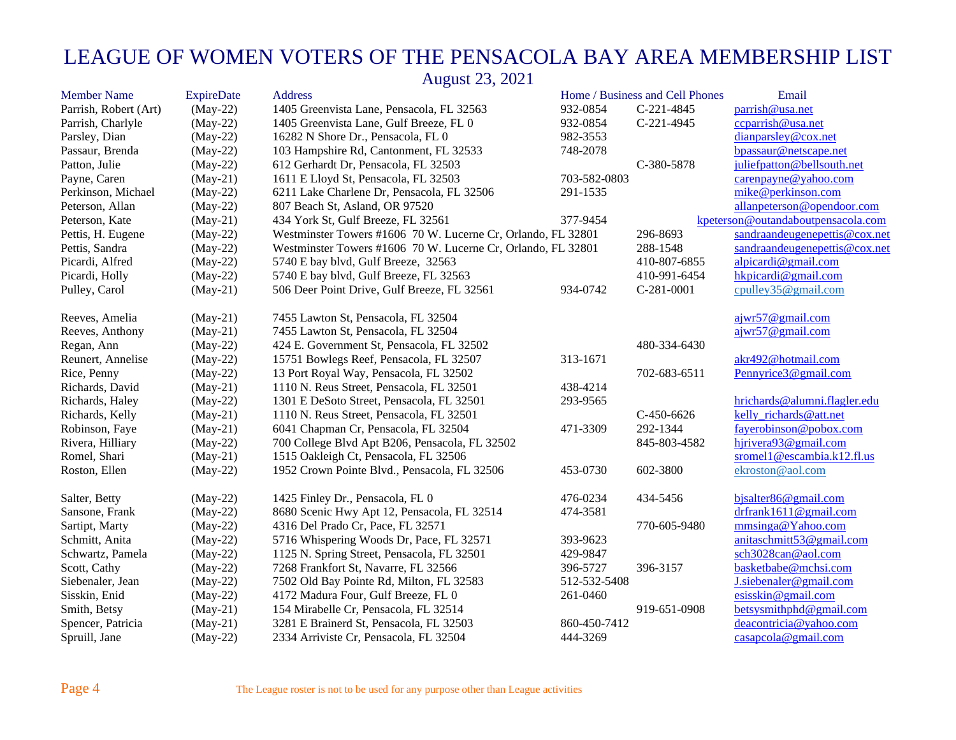| <b>Member Name</b>    | <b>ExpireDate</b> | <b>Address</b>                                               |              | Home / Business and Cell Phones | Email                              |
|-----------------------|-------------------|--------------------------------------------------------------|--------------|---------------------------------|------------------------------------|
| Parrish, Robert (Art) | $(May-22)$        | 1405 Greenvista Lane, Pensacola, FL 32563                    | 932-0854     | C-221-4845                      | parrish@usa.net                    |
| Parrish, Charlyle     | $(May-22)$        | 1405 Greenvista Lane, Gulf Breeze, FL 0                      | 932-0854     | C-221-4945                      | ccparrish@usa.net                  |
| Parsley, Dian         | $(May-22)$        | 16282 N Shore Dr., Pensacola, FL 0                           | 982-3553     |                                 | dianparsley@cox.net                |
| Passaur, Brenda       | $(May-22)$        | 103 Hampshire Rd, Cantonment, FL 32533                       | 748-2078     |                                 | bpassaur@netscape.net              |
| Patton, Julie         | $(May-22)$        | 612 Gerhardt Dr, Pensacola, FL 32503                         |              | C-380-5878                      | juliefpatton@bellsouth.net         |
| Payne, Caren          | $(May-21)$        | 1611 E Lloyd St, Pensacola, FL 32503                         | 703-582-0803 |                                 | carenpayne@yahoo.com               |
| Perkinson, Michael    | $(May-22)$        | 6211 Lake Charlene Dr, Pensacola, FL 32506                   | 291-1535     |                                 | mike@perkinson.com                 |
| Peterson, Allan       | $(May-22)$        | 807 Beach St, Asland, OR 97520                               |              |                                 | allanpeterson@opendoor.com         |
| Peterson, Kate        | $(May-21)$        | 434 York St, Gulf Breeze, FL 32561                           | 377-9454     |                                 | kpeterson@outandaboutpensacola.com |
| Pettis, H. Eugene     | $(May-22)$        | Westminster Towers #1606 70 W. Lucerne Cr, Orlando, FL 32801 |              | 296-8693                        | sandraandeugenepettis@cox.net      |
| Pettis, Sandra        | $(May-22)$        | Westminster Towers #1606 70 W. Lucerne Cr, Orlando, FL 32801 |              | 288-1548                        | sandraandeugenepettis@cox.net      |
| Picardi, Alfred       | $(May-22)$        | 5740 E bay blvd, Gulf Breeze, 32563                          |              | 410-807-6855                    | alpicardi@gmail.com                |
| Picardi, Holly        | $(May-22)$        | 5740 E bay blvd, Gulf Breeze, FL 32563                       |              | 410-991-6454                    | hkpicardi@gmail.com                |
| Pulley, Carol         | $(May-21)$        | 506 Deer Point Drive, Gulf Breeze, FL 32561                  | 934-0742     | C-281-0001                      | $c$ pulley35@gmail.com             |
| Reeves, Amelia        | $(May-21)$        | 7455 Lawton St, Pensacola, FL 32504                          |              |                                 | ajwr57@gmail.com                   |
| Reeves, Anthony       | $(May-21)$        | 7455 Lawton St, Pensacola, FL 32504                          |              |                                 | ajwr57@gmail.com                   |
| Regan, Ann            | $(May-22)$        | 424 E. Government St, Pensacola, FL 32502                    |              | 480-334-6430                    |                                    |
| Reunert, Annelise     | $(May-22)$        | 15751 Bowlegs Reef, Pensacola, FL 32507                      | 313-1671     |                                 | akr492@hotmail.com                 |
| Rice, Penny           | $(May-22)$        | 13 Port Royal Way, Pensacola, FL 32502                       |              | 702-683-6511                    | Pennyrice3@gmail.com               |
| Richards, David       | $(May-21)$        | 1110 N. Reus Street, Pensacola, FL 32501                     | 438-4214     |                                 |                                    |
| Richards, Haley       | $(May-22)$        | 1301 E DeSoto Street, Pensacola, FL 32501                    | 293-9565     |                                 | hrichards@alumni.flagler.edu       |
| Richards, Kelly       | $(May-21)$        | 1110 N. Reus Street, Pensacola, FL 32501                     |              | $C-450-6626$                    | kelly_richards@att.net             |
| Robinson, Faye        | $(May-21)$        | 6041 Chapman Cr, Pensacola, FL 32504                         | 471-3309     | 292-1344                        | fayerobinson@pobox.com             |
| Rivera, Hilliary      | $(May-22)$        | 700 College Blvd Apt B206, Pensacola, FL 32502               |              | 845-803-4582                    | hjrivera93@gmail.com               |
| Romel, Shari          | $(May-21)$        | 1515 Oakleigh Ct, Pensacola, FL 32506                        |              |                                 | sromel1@escambia.k12.fl.us         |
| Roston, Ellen         | $(May-22)$        | 1952 Crown Pointe Blvd., Pensacola, FL 32506                 | 453-0730     | 602-3800                        | ekroston@aol.com                   |
| Salter, Betty         | $(May-22)$        | 1425 Finley Dr., Pensacola, FL 0                             | 476-0234     | 434-5456                        | bjsalter86@gmail.com               |
| Sansone, Frank        | $(May-22)$        | 8680 Scenic Hwy Apt 12, Pensacola, FL 32514                  | 474-3581     |                                 | drfrank1611@gmail.com              |
| Sartipt, Marty        | $(May-22)$        | 4316 Del Prado Cr, Pace, FL 32571                            |              | 770-605-9480                    | mmsinga@Yahoo.com                  |
| Schmitt, Anita        | $(May-22)$        | 5716 Whispering Woods Dr, Pace, FL 32571                     | 393-9623     |                                 | anitaschmitt53@gmail.com           |
| Schwartz, Pamela      | $(May-22)$        | 1125 N. Spring Street, Pensacola, FL 32501                   | 429-9847     |                                 | sch3028can@aol.com                 |
| Scott, Cathy          | $(May-22)$        | 7268 Frankfort St, Navarre, FL 32566                         | 396-5727     | 396-3157                        | basketbabe@mchsi.com               |
| Siebenaler, Jean      | $(May-22)$        | 7502 Old Bay Pointe Rd, Milton, FL 32583                     | 512-532-5408 |                                 | J.siebenaler@gmail.com             |
| Sisskin, Enid         | $(May-22)$        | 4172 Madura Four, Gulf Breeze, FL 0                          | 261-0460     |                                 | esisskin@gmail.com                 |
| Smith, Betsy          | $(May-21)$        | 154 Mirabelle Cr, Pensacola, FL 32514                        |              | 919-651-0908                    | betsysmithphd@gmail.com            |
| Spencer, Patricia     | $(May-21)$        | 3281 E Brainerd St, Pensacola, FL 32503                      | 860-450-7412 |                                 | deacontricia@yahoo.com             |
| Spruill, Jane         | $(May-22)$        | 2334 Arriviste Cr, Pensacola, FL 32504                       | 444-3269     |                                 | casapcola@gmail.com                |